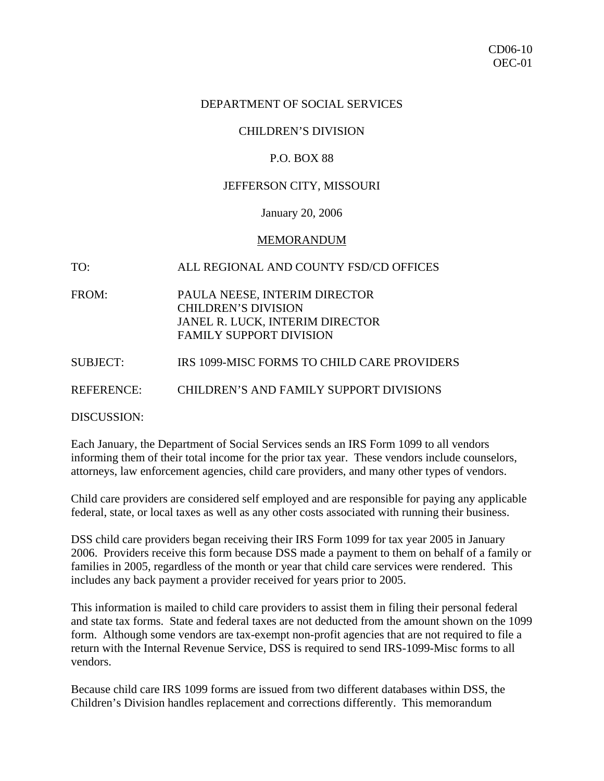### DEPARTMENT OF SOCIAL SERVICES

## CHILDREN'S DIVISION

#### P.O. BOX 88

### JEFFERSON CITY, MISSOURI

#### January 20, 2006

#### MEMORANDUM

## TO: ALL REGIONAL AND COUNTY FSD/CD OFFICES

- FROM: PAULA NEESE, INTERIM DIRECTOR CHILDREN'S DIVISION JANEL R. LUCK, INTERIM DIRECTOR FAMILY SUPPORT DIVISION
- SUBJECT: IRS 1099-MISC FORMS TO CHILD CARE PROVIDERS

REFERENCE: CHILDREN'S AND FAMILY SUPPORT DIVISIONS

DISCUSSION:

Each January, the Department of Social Services sends an IRS Form 1099 to all vendors informing them of their total income for the prior tax year. These vendors include counselors, attorneys, law enforcement agencies, child care providers, and many other types of vendors.

Child care providers are considered self employed and are responsible for paying any applicable federal, state, or local taxes as well as any other costs associated with running their business.

DSS child care providers began receiving their IRS Form 1099 for tax year 2005 in January 2006. Providers receive this form because DSS made a payment to them on behalf of a family or families in 2005, regardless of the month or year that child care services were rendered. This includes any back payment a provider received for years prior to 2005.

This information is mailed to child care providers to assist them in filing their personal federal and state tax forms. State and federal taxes are not deducted from the amount shown on the 1099 form. Although some vendors are tax-exempt non-profit agencies that are not required to file a return with the Internal Revenue Service, DSS is required to send IRS-1099-Misc forms to all vendors.

Because child care IRS 1099 forms are issued from two different databases within DSS, the Children's Division handles replacement and corrections differently. This memorandum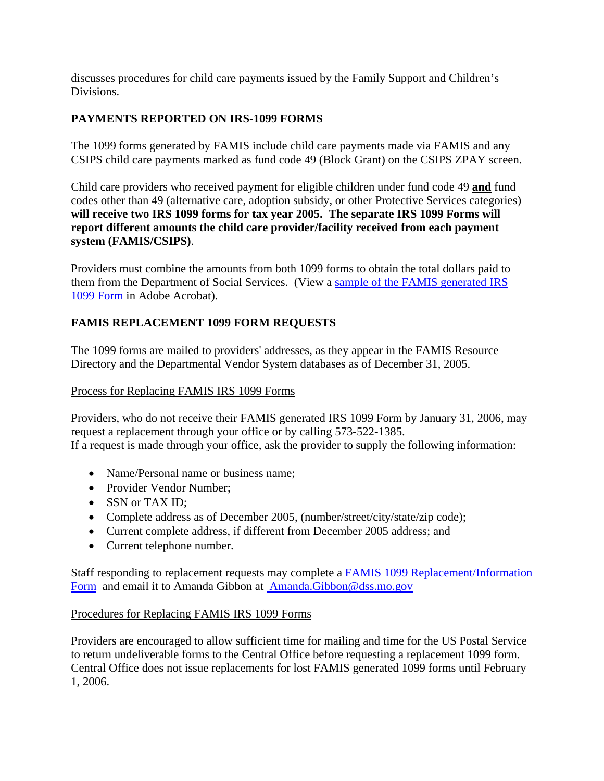discusses procedures for child care payments issued by the Family Support and Children's Divisions.

# **PAYMENTS REPORTED ON IRS-1099 FORMS**

The 1099 forms generated by FAMIS include child care payments made via FAMIS and any CSIPS child care payments marked as fund code 49 (Block Grant) on the CSIPS ZPAY screen.

Child care providers who received payment for eligible children under fund code 49 **and** fund codes other than 49 (alternative care, adoption subsidy, or other Protective Services categories) **will receive two IRS 1099 forms for tax year 2005. The separate IRS 1099 Forms will report different amounts the child care provider/facility received from each payment system (FAMIS/CSIPS)**.

Providers must combine the amounts from both 1099 forms to obtain the total dollars paid to them from the Department of Social Services. (View a [sample of the FAMIS generated IRS](http://www.dss.mo.gov/cd/info/memos/2006/10/1099_form.pdf)  [1099 Form](http://www.dss.mo.gov/cd/info/memos/2006/10/1099_form.pdf) in Adobe Acrobat).

# **FAMIS REPLACEMENT 1099 FORM REQUESTS**

The 1099 forms are mailed to providers' addresses, as they appear in the FAMIS Resource Directory and the Departmental Vendor System databases as of December 31, 2005.

## Process for Replacing FAMIS IRS 1099 Forms

Providers, who do not receive their FAMIS generated IRS 1099 Form by January 31, 2006, may request a replacement through your office or by calling 573-522-1385. If a request is made through your office, ask the provider to supply the following information:

- Name/Personal name or business name:
- Provider Vendor Number:
- SSN or TAX ID;
- Complete address as of December 2005, (number/street/city/state/zip code);
- Current complete address, if different from December 2005 address; and
- Current telephone number.

Staff responding to replacement requests may complete a [FAMIS 1099 Replacement/Information](http://www.dss.mo.gov/cd/info/memos/2006/10/2005_famis1099_replacement_information_form.doc)  [Form](http://www.dss.mo.gov/cd/info/memos/2006/10/2005_famis1099_replacement_information_form.doc) and email it to Amanda Gibbon at [Amanda.Gibbon@dss.mo.gov](mailto:%20Amanda.Gibbon@dss.mo.gov)

## Procedures for Replacing FAMIS IRS 1099 Forms

Providers are encouraged to allow sufficient time for mailing and time for the US Postal Service to return undeliverable forms to the Central Office before requesting a replacement 1099 form. Central Office does not issue replacements for lost FAMIS generated 1099 forms until February 1, 2006.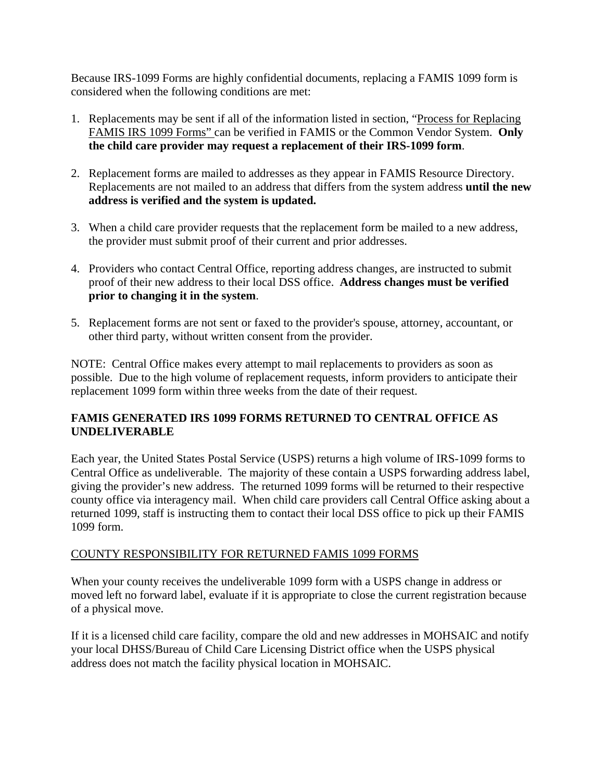Because IRS-1099 Forms are highly confidential documents, replacing a FAMIS 1099 form is considered when the following conditions are met:

- 1. Replacements may be sent if all of the information listed in section, "Process for Replacing FAMIS IRS 1099 Forms" can be verified in FAMIS or the Common Vendor System. **Only the child care provider may request a replacement of their IRS-1099 form**.
- 2. Replacement forms are mailed to addresses as they appear in FAMIS Resource Directory. Replacements are not mailed to an address that differs from the system address **until the new address is verified and the system is updated.**
- 3. When a child care provider requests that the replacement form be mailed to a new address, the provider must submit proof of their current and prior addresses.
- 4. Providers who contact Central Office, reporting address changes, are instructed to submit proof of their new address to their local DSS office. **Address changes must be verified prior to changing it in the system**.
- 5. Replacement forms are not sent or faxed to the provider's spouse, attorney, accountant, or other third party, without written consent from the provider.

NOTE: Central Office makes every attempt to mail replacements to providers as soon as possible. Due to the high volume of replacement requests, inform providers to anticipate their replacement 1099 form within three weeks from the date of their request.

# **FAMIS GENERATED IRS 1099 FORMS RETURNED TO CENTRAL OFFICE AS UNDELIVERABLE**

Each year, the United States Postal Service (USPS) returns a high volume of IRS-1099 forms to Central Office as undeliverable. The majority of these contain a USPS forwarding address label, giving the provider's new address. The returned 1099 forms will be returned to their respective county office via interagency mail. When child care providers call Central Office asking about a returned 1099, staff is instructing them to contact their local DSS office to pick up their FAMIS 1099 form.

## COUNTY RESPONSIBILITY FOR RETURNED FAMIS 1099 FORMS

When your county receives the undeliverable 1099 form with a USPS change in address or moved left no forward label, evaluate if it is appropriate to close the current registration because of a physical move.

If it is a licensed child care facility, compare the old and new addresses in MOHSAIC and notify your local DHSS/Bureau of Child Care Licensing District office when the USPS physical address does not match the facility physical location in MOHSAIC.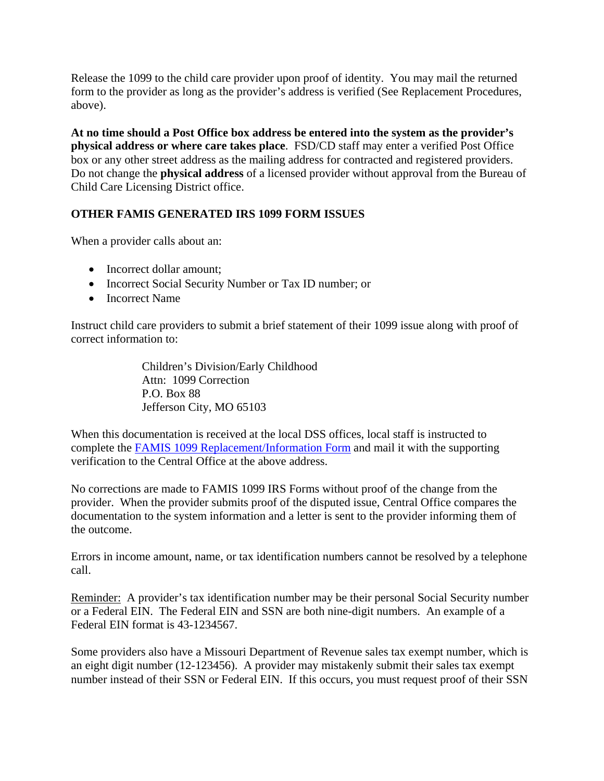Release the 1099 to the child care provider upon proof of identity. You may mail the returned form to the provider as long as the provider's address is verified (See Replacement Procedures, above).

**At no time should a Post Office box address be entered into the system as the provider's physical address or where care takes place**. FSD/CD staff may enter a verified Post Office box or any other street address as the mailing address for contracted and registered providers. Do not change the **physical address** of a licensed provider without approval from the Bureau of Child Care Licensing District office.

## **OTHER FAMIS GENERATED IRS 1099 FORM ISSUES**

When a provider calls about an:

- Incorrect dollar amount;
- Incorrect Social Security Number or Tax ID number; or
- Incorrect Name

Instruct child care providers to submit a brief statement of their 1099 issue along with proof of correct information to:

> Children's Division/Early Childhood Attn: 1099 Correction P.O. Box 88 Jefferson City, MO 65103

When this documentation is received at the local DSS offices, local staff is instructed to complete the [FAMIS 1099 Replacement/Information Form](http://www.dss.mo.gov/cd/info/memos/2006/10/2005_famis1099_replacement_information_form.doc) and mail it with the supporting verification to the Central Office at the above address.

No corrections are made to FAMIS 1099 IRS Forms without proof of the change from the provider. When the provider submits proof of the disputed issue, Central Office compares the documentation to the system information and a letter is sent to the provider informing them of the outcome.

Errors in income amount, name, or tax identification numbers cannot be resolved by a telephone call.

Reminder: A provider's tax identification number may be their personal Social Security number or a Federal EIN. The Federal EIN and SSN are both nine-digit numbers. An example of a Federal EIN format is 43-1234567.

Some providers also have a Missouri Department of Revenue sales tax exempt number, which is an eight digit number (12-123456). A provider may mistakenly submit their sales tax exempt number instead of their SSN or Federal EIN. If this occurs, you must request proof of their SSN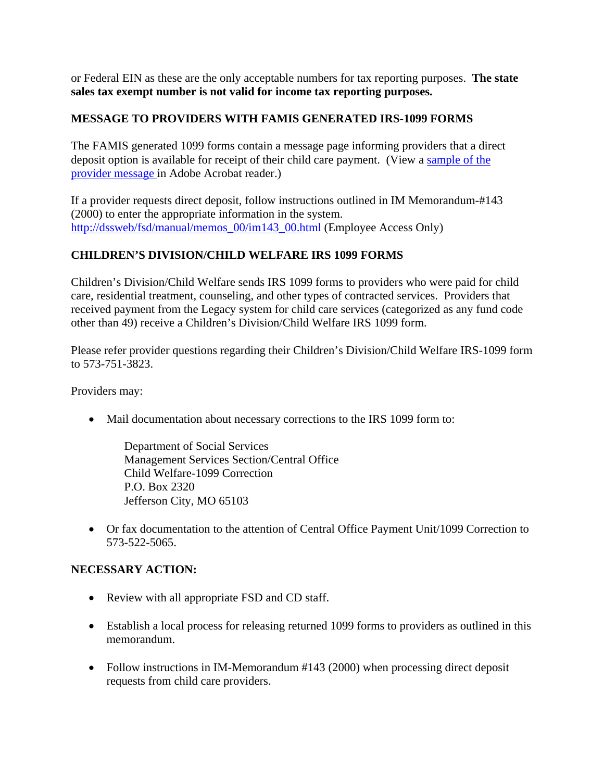or Federal EIN as these are the only acceptable numbers for tax reporting purposes. **The state sales tax exempt number is not valid for income tax reporting purposes.** 

# **MESSAGE TO PROVIDERS WITH FAMIS GENERATED IRS-1099 FORMS**

The FAMIS generated 1099 forms contain a message page informing providers that a direct deposit option is available for receipt of their child care payment. (View a [sample of the](http://www.dss.mo.gov/cd/info/memos/2006/10/1099_message_page.pdf)  [provider message](http://www.dss.mo.gov/cd/info/memos/2006/10/1099_message_page.pdf) in Adobe Acrobat reader.)

If a provider requests direct deposit, follow instructions outlined in IM Memorandum-#143 (2000) to enter the appropriate information in the system. http://dssweb/fsd[/manual/memos](http://dssweb/fsd/manual/memos_00/im143_00.html)\_00/im143\_00.html (Employee Access Only)

# **CHILDREN'S DIVISION/CHILD WELFARE IRS 1099 FORMS**

Children's Division/Child Welfare sends IRS 1099 forms to providers who were paid for child care, residential treatment, counseling, and other types of contracted services. Providers that received payment from the Legacy system for child care services (categorized as any fund code other than 49) receive a Children's Division/Child Welfare IRS 1099 form.

Please refer provider questions regarding their Children's Division/Child Welfare IRS-1099 form to 573-751-3823.

Providers may:

• Mail documentation about necessary corrections to the IRS 1099 form to:

Department of Social Services Management Services Section/Central Office Child Welfare-1099 Correction P.O. Box 2320 Jefferson City, MO 65103

• Or fax documentation to the attention of Central Office Payment Unit/1099 Correction to 573-522-5065.

## **NECESSARY ACTION:**

- Review with all appropriate FSD and CD staff.
- Establish a local process for releasing returned 1099 forms to providers as outlined in this memorandum.
- Follow instructions in IM-Memorandum #143 (2000) when processing direct deposit requests from child care providers.